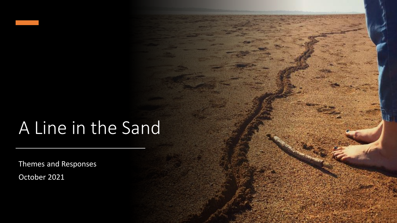#### A Line in the Sand

Themes and Responses

October 2021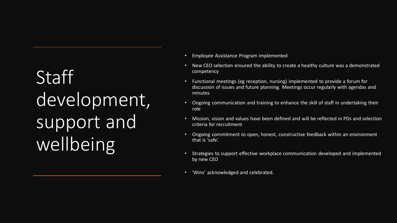#### **Staff** development, support and wellbeing

- Employee Assistance Program implemented
- New CEO selection ensured the ability to create a healthy culture was a demonstrated competency
- Functional meetings (eg reception, nursing) implemented to provide a forum for discussion of issues and future planning. Meetings occur regularly with agendas and minutes
- Ongoing communication and training to enhance the skill of staff in undertaking their role
- Mission, vision and values have been defined and will be reflected in PDs and selection criteria for recruitment
- Ongoing commitment to open, honest, constructive feedback within an environment that is 'safe'.
- Strategies to support effective workplace communication developed and implemented by new CEO
- 'Wins' acknowledged and celebrated.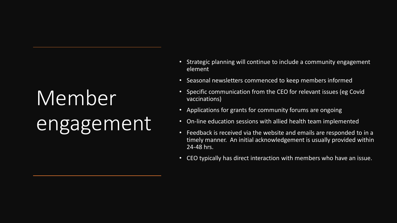### Member engagement

- Strategic planning will continue to include a community engagement element
- Seasonal newsletters commenced to keep members informed
- Specific communication from the CEO for relevant issues (eg Covid vaccinations)
- Applications for grants for community forums are ongoing
- On-line education sessions with allied health team implemented
- Feedback is received via the website and emails are responded to in a timely manner. An initial acknowledgement is usually provided within 24-48 hrs.
- CEO typically has direct interaction with members who have an issue.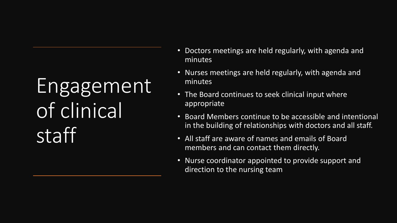#### Engagement of clinical staff

- Doctors meetings are held regularly, with agenda and minutes
- Nurses meetings are held regularly, with agenda and minutes
- The Board continues to seek clinical input where appropriate
- Board Members continue to be accessible and intentional in the building of relationships with doctors and all staff.
- All staff are aware of names and emails of Board members and can contact them directly.
- Nurse coordinator appointed to provide support and direction to the nursing team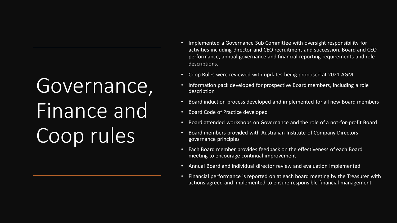#### Governance, Finance and Coop rules

- Implemented a Governance Sub Committee with oversight responsibility for activities including director and CEO recruitment and succession, Board and CEO performance, annual governance and financial reporting requirements and role descriptions.
- Coop Rules were reviewed with updates being proposed at 2021 AGM
- Information pack developed for prospective Board members, including a role description
- Board induction process developed and implemented for all new Board members
- Board Code of Practice developed
- Board attended workshops on Governance and the role of a not-for-profit Board
- Board members provided with Australian Institute of Company Directors governance principles
- Each Board member provides feedback on the effectiveness of each Board meeting to encourage continual improvement
- Annual Board and individual director review and evaluation implemented
- Financial performance is reported on at each board meeting by the Treasurer with actions agreed and implemented to ensure responsible financial management.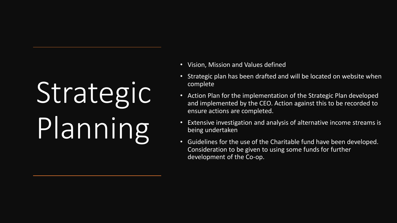# Strategic Planning

- Vision, Mission and Values defined
- Strategic plan has been drafted and will be located on website when complete
- Action Plan for the implementation of the Strategic Plan developed and implemented by the CEO. Action against this to be recorded to ensure actions are completed.
- Extensive investigation and analysis of alternative income streams is being undertaken
- Guidelines for the use of the Charitable fund have been developed. Consideration to be given to using some funds for further development of the Co-op.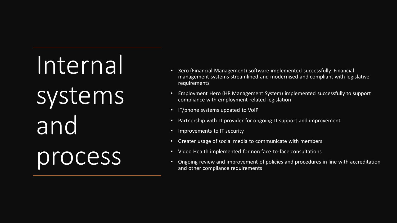Internal systems and process

- Xero (Financial Management) software implemented successfully. Financial management systems streamlined and modernised and compliant with legislative requirements
- Employment Hero (HR Management System) implemented successfully to support compliance with employment related legislation
- IT/phone systems updated to VoIP
- Partnership with IT provider for ongoing IT support and improvement
- Improvements to IT security
- Greater usage of social media to communicate with members
- Video Health implemented for non face-to-face consultations
- Ongoing review and improvement of policies and procedures in line with accreditation and other compliance requirements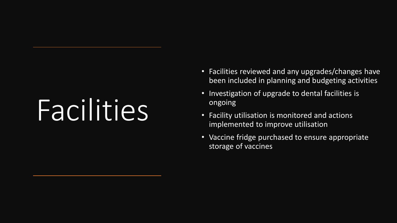### Facilities

- Facilities reviewed and any upgrades/changes have been included in planning and budgeting activities
- Investigation of upgrade to dental facilities is ongoing
- Facility utilisation is monitored and actions implemented to improve utilisation
- Vaccine fridge purchased to ensure appropriate storage of vaccines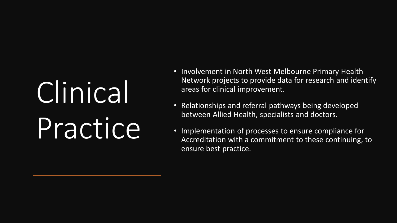## Clinical Practice

- Involvement in North West Melbourne Primary Health Network projects to provide data for research and identify areas for clinical improvement.
- Relationships and referral pathways being developed between Allied Health, specialists and doctors.
- Implementation of processes to ensure compliance for Accreditation with a commitment to these continuing, to ensure best practice.